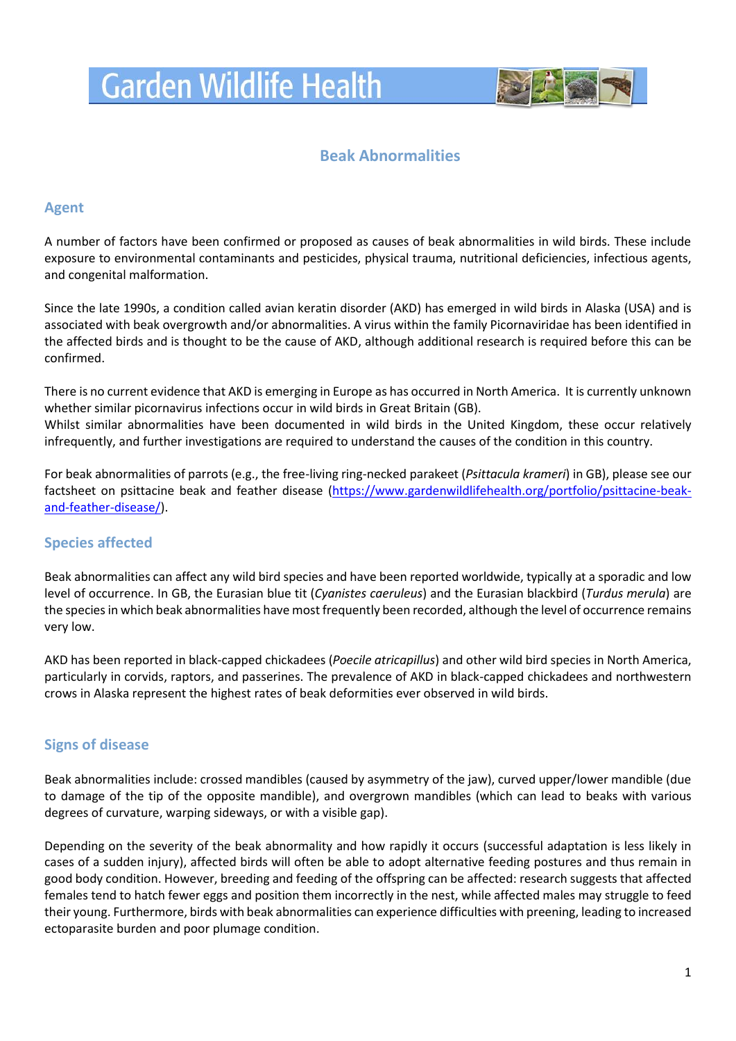# **Garden Wildlife Health**



## **Beak Abnormalities**

## **Agent**

A number of factors have been confirmed or proposed as causes of beak abnormalities in wild birds. These include exposure to environmental contaminants and pesticides, physical trauma, nutritional deficiencies, infectious agents, and congenital malformation.

Since the late 1990s, a condition called avian keratin disorder (AKD) has emerged in wild birds in Alaska (USA) and is associated with beak overgrowth and/or abnormalities. A virus within the family Picornaviridae has been identified in the affected birds and is thought to be the cause of AKD, although additional research is required before this can be confirmed.

There is no current evidence that AKD is emerging in Europe as has occurred in North America. It is currently unknown whether similar picornavirus infections occur in wild birds in Great Britain (GB).

Whilst similar abnormalities have been documented in wild birds in the United Kingdom, these occur relatively infrequently, and further investigations are required to understand the causes of the condition in this country.

For beak abnormalities of parrots (e.g., the free-living ring-necked parakeet (*Psittacula krameri*) in GB), please see our factsheet on psittacine beak and feather disease [\(https://www.gardenwildlifehealth.org/portfolio/psittacine-beak](https://www.gardenwildlifehealth.org/portfolio/psittacine-beak-and-feather-disease/)[and-feather-disease/\)](https://www.gardenwildlifehealth.org/portfolio/psittacine-beak-and-feather-disease/).

## **Species affected**

Beak abnormalities can affect any wild bird species and have been reported worldwide, typically at a sporadic and low level of occurrence. In GB, the Eurasian blue tit (*Cyanistes caeruleus*) and the Eurasian blackbird (*Turdus merula*) are the speciesin which beak abnormalities have most frequently been recorded, although the level of occurrence remains very low.

AKD has been reported in black-capped chickadees (*Poecile atricapillus*) and other wild bird species in North America, particularly in corvids, raptors, and passerines. The prevalence of AKD in black-capped chickadees and northwestern crows in Alaska represent the highest rates of beak deformities ever observed in wild birds.

## **Signs of disease**

Beak abnormalities include: crossed mandibles (caused by asymmetry of the jaw), curved upper/lower mandible (due to damage of the tip of the opposite mandible), and overgrown mandibles (which can lead to beaks with various degrees of curvature, warping sideways, or with a visible gap).

Depending on the severity of the beak abnormality and how rapidly it occurs (successful adaptation is less likely in cases of a sudden injury), affected birds will often be able to adopt alternative feeding postures and thus remain in good body condition. However, breeding and feeding of the offspring can be affected: research suggests that affected females tend to hatch fewer eggs and position them incorrectly in the nest, while affected males may struggle to feed their young. Furthermore, birds with beak abnormalities can experience difficulties with preening, leading to increased ectoparasite burden and poor plumage condition.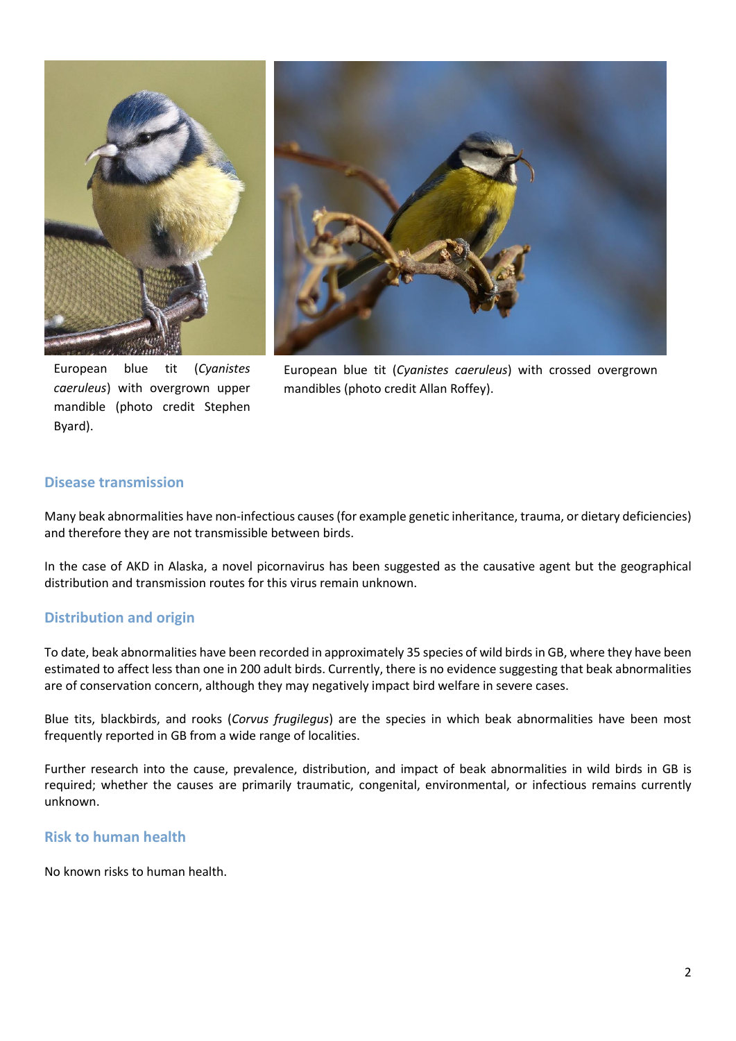

European blue tit (*Cyanistes caeruleus*) with overgrown upper mandible (photo credit Stephen Byard).



European blue tit (*Cyanistes caeruleus*) with crossed overgrown mandibles (photo credit Allan Roffey).

## **Disease transmission**

Many beak abnormalities have non-infectious causes(for example genetic inheritance, trauma, or dietary deficiencies) and therefore they are not transmissible between birds.

In the case of AKD in Alaska, a novel picornavirus has been suggested as the causative agent but the geographical distribution and transmission routes for this virus remain unknown.

## **Distribution and origin**

To date, beak abnormalities have been recorded in approximately 35 species of wild birds in GB, where they have been estimated to affect less than one in 200 adult birds. Currently, there is no evidence suggesting that beak abnormalities are of conservation concern, although they may negatively impact bird welfare in severe cases.

Blue tits, blackbirds, and rooks (*Corvus frugilegus*) are the species in which beak abnormalities have been most frequently reported in GB from a wide range of localities.

Further research into the cause, prevalence, distribution, and impact of beak abnormalities in wild birds in GB is required; whether the causes are primarily traumatic, congenital, environmental, or infectious remains currently unknown.

## **Risk to human health**

No known risks to human health.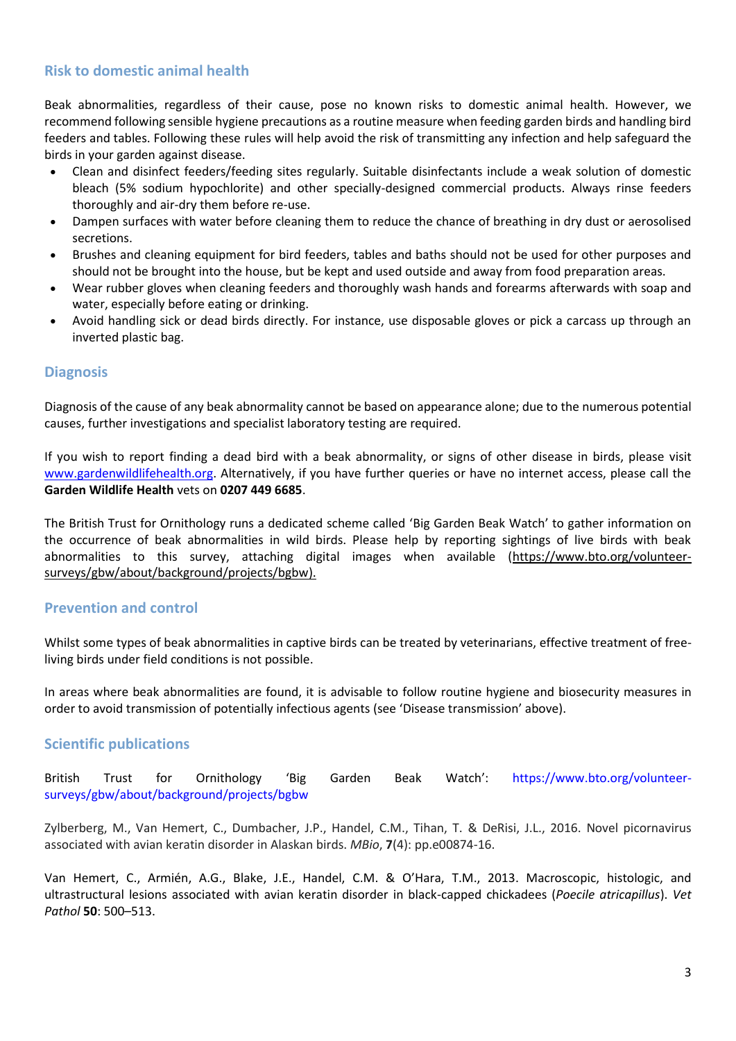## **Risk to domestic animal health**

Beak abnormalities, regardless of their cause, pose no known risks to domestic animal health. However, we recommend following sensible hygiene precautions as a routine measure when feeding garden birds and handling bird feeders and tables. Following these rules will help avoid the risk of transmitting any infection and help safeguard the birds in your garden against disease.

- Clean and disinfect feeders/feeding sites regularly. Suitable disinfectants include a weak solution of domestic bleach (5% sodium hypochlorite) and other specially-designed commercial products. Always rinse feeders thoroughly and air-dry them before re-use.
- Dampen surfaces with water before cleaning them to reduce the chance of breathing in dry dust or aerosolised secretions.
- Brushes and cleaning equipment for bird feeders, tables and baths should not be used for other purposes and should not be brought into the house, but be kept and used outside and away from food preparation areas.
- Wear rubber gloves when cleaning feeders and thoroughly wash hands and forearms afterwards with soap and water, especially before eating or drinking.
- Avoid handling sick or dead birds directly. For instance, use disposable gloves or pick a carcass up through an inverted plastic bag.

## **Diagnosis**

Diagnosis of the cause of any beak abnormality cannot be based on appearance alone; due to the numerous potential causes, further investigations and specialist laboratory testing are required.

If you wish to report finding a dead bird with a beak abnormality, or signs of other disease in birds, please visit [www.gardenwildlifehealth.org.](http://www.gardenwildlifehealth.org/) Alternatively, if you have further queries or have no internet access, please call the **Garden Wildlife Health** vets on **0207 449 6685**.

The British Trust for Ornithology runs a dedicated scheme called 'Big Garden Beak Watch' to gather information on the occurrence of beak abnormalities in wild birds. Please help by reporting sightings of live birds with beak abnormalities to this survey, attaching digital images when available [\(https://www.bto.org/volunteer](https://www.bto.org/volunteer-surveys/gbw/about/background/projects/bgbw)[surveys/gbw/about/background/projects/bgbw\)](https://www.bto.org/volunteer-surveys/gbw/about/background/projects/bgbw).

## **Prevention and control**

Whilst some types of beak abnormalities in captive birds can be treated by veterinarians, effective treatment of freeliving birds under field conditions is not possible.

In areas where beak abnormalities are found, it is advisable to follow routine hygiene and biosecurity measures in order to avoid transmission of potentially infectious agents (see 'Disease transmission' above).

## **Scientific publications**

British Trust for Ornithology 'Big Garden Beak Watch': [https://www.bto.org/volunteer](https://www.bto.org/volunteer-surveys/gbw/about/background/projects/bgbw)[surveys/gbw/about/background/projects/bgbw](https://www.bto.org/volunteer-surveys/gbw/about/background/projects/bgbw)

Zylberberg, M., Van Hemert, C., Dumbacher, J.P., Handel, C.M., Tihan, T. & DeRisi, J.L., 2016. Novel picornavirus associated with avian keratin disorder in Alaskan birds. *MBio*, **7**(4): pp.e00874-16.

Van Hemert, C., Armién, A.G., Blake, J.E., Handel, C.M. & O'Hara, T.M., 2013. Macroscopic, histologic, and ultrastructural lesions associated with avian keratin disorder in black-capped chickadees (*Poecile atricapillus*). *Vet Pathol* **50**: 500–513.